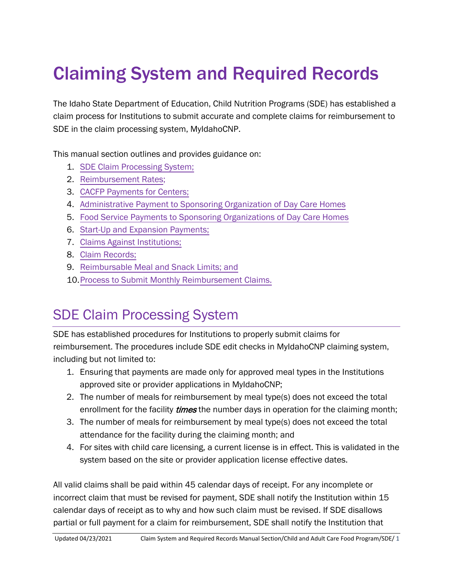# Claiming System and Required Records

The Idaho State Department of Education, Child Nutrition Programs (SDE) has established a claim process for Institutions to submit accurate and complete claims for reimbursement to SDE in the claim processing system, MyIdahoCNP.

This manual section outlines and provides guidance on:

- 1. SDE Claim Processing System;
- 2. [Reimbursement Rates;](#page-3-0)
- 3. [CACFP Payments for Centers;](#page-6-0)
- 4. Administrative Payment to Sponsoring Organization [of Day Care Homes](#page-9-0)
- 5. Food Service [Payments to Sponsoring Organizations of](#page-10-0) Day Care Homes
- 6. [Start-Up and Expansion](#page-12-0) Payments;
- 7. [Claims Against Institutions;](#page-15-0)
- 8. [Claim Records;](#page-17-0)
- 9. [Reimbursable Meal and Snack Limits; and](#page-27-0)
- 10.[Process to Submit Monthly Reimbursement Claims.](#page-28-0)

## SDE Claim Processing System

SDE has established procedures for Institutions to properly submit claims for reimbursement. The procedures include SDE edit checks in MyIdahoCNP claiming system, including but not limited to:

- 1. Ensuring that payments are made only for approved meal types in the Institutions approved site or provider applications in MyIdahoCNP;
- 2. The number of meals for reimbursement by meal type(s) does not exceed the total enrollment for the facility *times* the number days in operation for the claiming month;
- 3. The number of meals for reimbursement by meal type(s) does not exceed the total attendance for the facility during the claiming month; and
- 4. For sites with child care licensing, a current license is in effect. This is validated in the system based on the site or provider application license effective dates.

All valid claims shall be paid within 45 calendar days of receipt. For any incomplete or incorrect claim that must be revised for payment, SDE shall notify the Institution within 15 calendar days of receipt as to why and how such claim must be revised. If SDE disallows partial or full payment for a claim for reimbursement, SDE shall notify the Institution that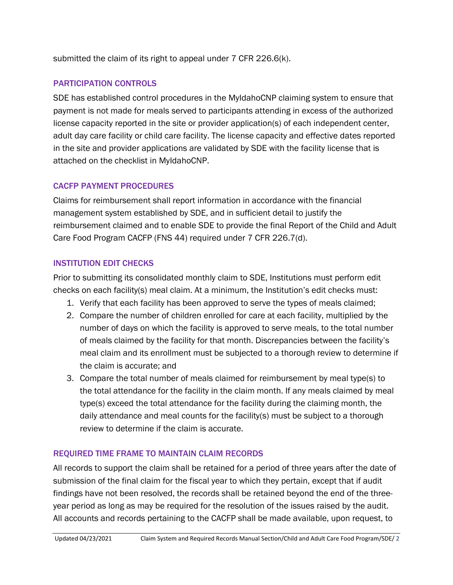submitted the claim of its right to appeal under 7 CFR 226.6(k).

## PARTICIPATION CONTROLS

SDE has established control procedures in the MyIdahoCNP claiming system to ensure that payment is not made for meals served to participants attending in excess of the authorized license capacity reported in the site or provider application(s) of each independent center, adult day care facility or child care facility. The license capacity and effective dates reported in the site and provider applications are validated by SDE with the facility license that is attached on the checklist in MyIdahoCNP.

## CACFP PAYMENT PROCEDURES

Claims for reimbursement shall report information in accordance with the financial management system established by SDE, and in sufficient detail to justify the reimbursement claimed and to enable SDE to provide the final Report of the Child and Adult Care Food Program CACFP (FNS 44) required under 7 CFR 226.7(d).

### INSTITUTION EDIT CHECKS

Prior to submitting its consolidated monthly claim to SDE, Institutions must perform edit checks on each facility(s) meal claim. At a minimum, the Institution's edit checks must:

- 1. Verify that each facility has been approved to serve the types of meals claimed;
- 2. Compare the number of children enrolled for care at each facility, multiplied by the number of days on which the facility is approved to serve meals, to the total number of meals claimed by the facility for that month. Discrepancies between the facility's meal claim and its enrollment must be subjected to a thorough review to determine if the claim is accurate; and
- 3. Compare the total number of meals claimed for reimbursement by meal type(s) to the total attendance for the facility in the claim month. If any meals claimed by meal type(s) exceed the total attendance for the facility during the claiming month, the daily attendance and meal counts for the facility(s) must be subject to a thorough review to determine if the claim is accurate.

## REQUIRED TIME FRAME TO MAINTAIN CLAIM RECORDS

All records to support the claim shall be retained for a period of three years after the date of submission of the final claim for the fiscal year to which they pertain, except that if audit findings have not been resolved, the records shall be retained beyond the end of the threeyear period as long as may be required for the resolution of the issues raised by the audit. All accounts and records pertaining to the CACFP shall be made available, upon request, to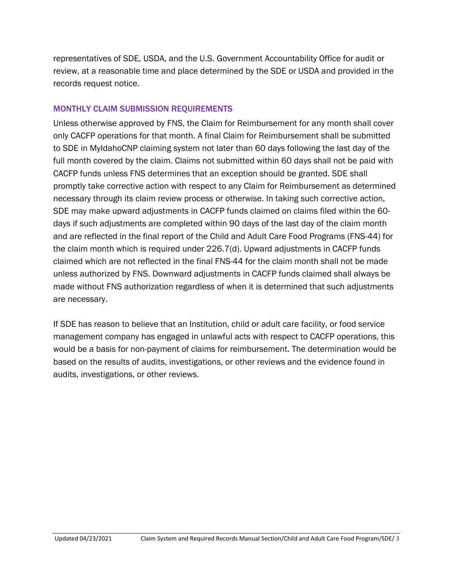representatives of SDE, USDA, and the U.S. Government Accountability Office for audit or review, at a reasonable time and place determined by the SDE or USDA and provided in the records request notice.

#### MONTHLY CLAIM SUBMISSION REQUIREMENTS

Unless otherwise approved by FNS, the Claim for Reimbursement for any month shall cover only CACFP operations for that month. A final Claim for Reimbursement shall be submitted to SDE in MyIdahoCNP claiming system not later than 60 days following the last day of the full month covered by the claim. Claims not submitted within 60 days shall not be paid with CACFP funds unless FNS determines that an exception should be granted. SDE shall promptly take corrective action with respect to any Claim for Reimbursement as determined necessary through its claim review process or otherwise. In taking such corrective action, SDE may make upward adjustments in CACFP funds claimed on claims filed within the 60 days if such adjustments are completed within 90 days of the last day of the claim month and are reflected in the final report of the Child and Adult Care Food Programs (FNS-44) for the claim month which is required under 226.7(d). Upward adjustments in CACFP funds claimed which are not reflected in the final FNS-44 for the claim month shall not be made unless authorized by FNS. Downward adjustments in CACFP funds claimed shall always be made without FNS authorization regardless of when it is determined that such adjustments are necessary.

If SDE has reason to believe that an Institution, child or adult care facility, or food service management company has engaged in unlawful acts with respect to CACFP operations, this would be a basis for non-payment of claims for reimbursement. The determination would be based on the results of audits, investigations, or other reviews and the evidence found in audits, investigations, or other reviews.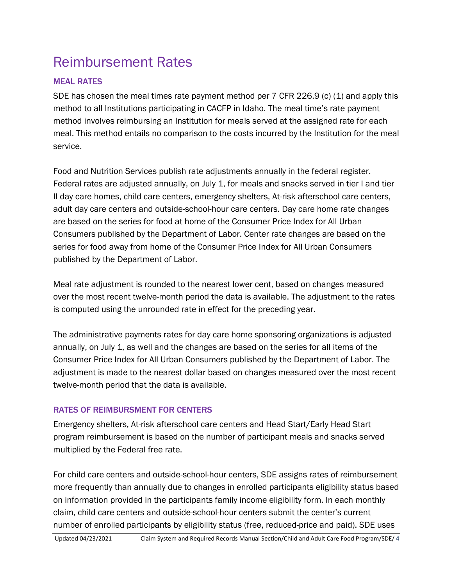## <span id="page-3-0"></span>Reimbursement Rates

## MEAL RATES

SDE has chosen the meal times rate payment method per 7 CFR 226.9 (c) (1) and apply this method to all Institutions participating in CACFP in Idaho. The meal time's rate payment method involves reimbursing an Institution for meals served at the assigned rate for each meal. This method entails no comparison to the costs incurred by the Institution for the meal service.

Food and Nutrition Services publish rate adjustments annually in the federal register. Federal rates are adjusted annually, on July 1, for meals and snacks served in tier I and tier II day care homes, child care centers, emergency shelters, At-risk afterschool care centers, adult day care centers and outside-school-hour care centers. Day care home rate changes are based on the series for food at home of the Consumer Price Index for All Urban Consumers published by the Department of Labor. Center rate changes are based on the series for food away from home of the Consumer Price Index for All Urban Consumers published by the Department of Labor.

Meal rate adjustment is rounded to the nearest lower cent, based on changes measured over the most recent twelve-month period the data is available. The adjustment to the rates is computed using the unrounded rate in effect for the preceding year.

The administrative payments rates for day care home sponsoring organizations is adjusted annually, on July 1, as well and the changes are based on the series for all items of the Consumer Price Index for All Urban Consumers published by the Department of Labor. The adjustment is made to the nearest dollar based on changes measured over the most recent twelve-month period that the data is available.

## RATES OF REIMBURSMENT FOR CENTERS

Emergency shelters, At-risk afterschool care centers and Head Start/Early Head Start program reimbursement is based on the number of participant meals and snacks served multiplied by the Federal free rate.

For child care centers and outside-school-hour centers, SDE assigns rates of reimbursement more frequently than annually due to changes in enrolled participants eligibility status based on information provided in the participants family income eligibility form. In each monthly claim, child care centers and outside-school-hour centers submit the center's current number of enrolled participants by eligibility status (free, reduced-price and paid). SDE uses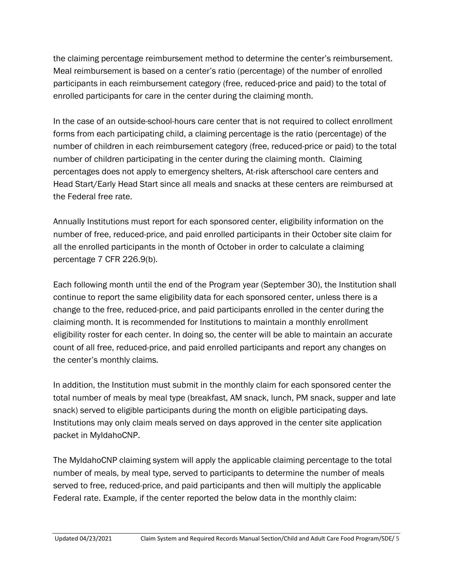the claiming percentage reimbursement method to determine the center's reimbursement. Meal reimbursement is based on a center's ratio (percentage) of the number of enrolled participants in each reimbursement category (free, reduced-price and paid) to the total of enrolled participants for care in the center during the claiming month.

In the case of an outside-school-hours care center that is not required to collect enrollment forms from each participating child, a claiming percentage is the ratio (percentage) of the number of children in each reimbursement category (free, reduced-price or paid) to the total number of children participating in the center during the claiming month. Claiming percentages does not apply to emergency shelters, At-risk afterschool care centers and Head Start/Early Head Start since all meals and snacks at these centers are reimbursed at the Federal free rate.

Annually Institutions must report for each sponsored center, eligibility information on the number of free, reduced-price, and paid enrolled participants in their October site claim for all the enrolled participants in the month of October in order to calculate a claiming percentage 7 CFR 226.9(b).

Each following month until the end of the Program year (September 30), the Institution shall continue to report the same eligibility data for each sponsored center, unless there is a change to the free, reduced-price, and paid participants enrolled in the center during the claiming month. It is recommended for Institutions to maintain a monthly enrollment eligibility roster for each center. In doing so, the center will be able to maintain an accurate count of all free, reduced-price, and paid enrolled participants and report any changes on the center's monthly claims.

In addition, the Institution must submit in the monthly claim for each sponsored center the total number of meals by meal type (breakfast, AM snack, lunch, PM snack, supper and late snack) served to eligible participants during the month on eligible participating days. Institutions may only claim meals served on days approved in the center site application packet in MyIdahoCNP.

The MyIdahoCNP claiming system will apply the applicable claiming percentage to the total number of meals, by meal type, served to participants to determine the number of meals served to free, reduced-price, and paid participants and then will multiply the applicable Federal rate. Example, if the center reported the below data in the monthly claim: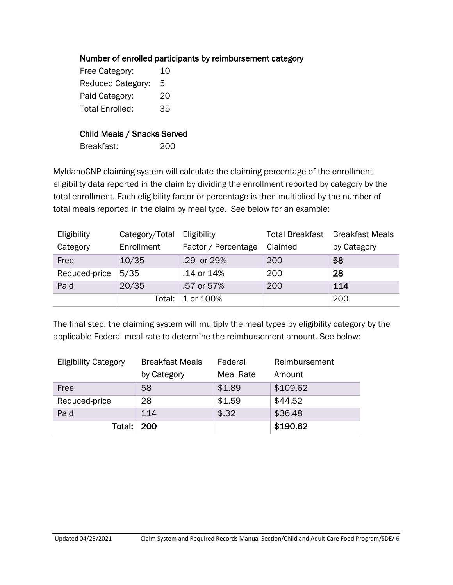### Number of enrolled participants by reimbursement category

Free Category: 10 Reduced Category: 5 Paid Category: 20 Total Enrolled: 35

#### Child Meals / Snacks Served

Breakfast: 200

MyIdahoCNP claiming system will calculate the claiming percentage of the enrollment eligibility data reported in the claim by dividing the enrollment reported by category by the total enrollment. Each eligibility factor or percentage is then multiplied by the number of total meals reported in the claim by meal type. See below for an example:

| Eligibility   | Category/Total Eligibility |                     |            | <b>Total Breakfast</b> Breakfast Meals |
|---------------|----------------------------|---------------------|------------|----------------------------------------|
| Category      | Enrollment                 | Factor / Percentage | Claimed    | by Category                            |
| Free          | 10/35                      | .29 or 29%          | <b>200</b> | 58                                     |
| Reduced-price | 5/35                       | .14 or 14%          | 200        | 28                                     |
| Paid          | 20/35                      | .57 or 57%          | 200        | 114                                    |
|               | Total: I                   | 1 or 100%           |            | 200                                    |

The final step, the claiming system will multiply the meal types by eligibility category by the applicable Federal meal rate to determine the reimbursement amount. See below:

| <b>Eligibility Category</b> | <b>Breakfast Meals</b> | Federal          | Reimbursement |  |  |
|-----------------------------|------------------------|------------------|---------------|--|--|
|                             | by Category            | <b>Meal Rate</b> | Amount        |  |  |
| Free                        | 58                     | \$1.89           | \$109.62      |  |  |
| Reduced-price               | 28                     | \$1.59           | \$44.52       |  |  |
| Paid                        | 114                    | \$.32            | \$36.48       |  |  |
| Total:                      | 200                    |                  | \$190.62      |  |  |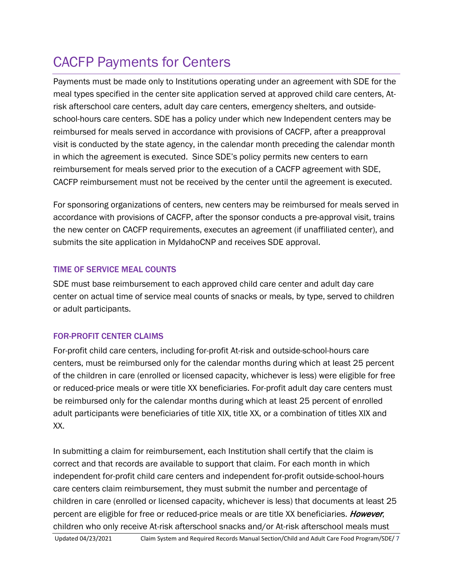## <span id="page-6-0"></span>CACFP Payments for Centers

Payments must be made only to Institutions operating under an agreement with SDE for the meal types specified in the center site application served at approved child care centers, Atrisk afterschool care centers, adult day care centers, emergency shelters, and outsideschool-hours care centers. SDE has a policy under which new Independent centers may be reimbursed for meals served in accordance with provisions of CACFP, after a preapproval visit is conducted by the state agency, in the calendar month preceding the calendar month in which the agreement is executed. Since SDE's policy permits new centers to earn reimbursement for meals served prior to the execution of a CACFP agreement with SDE, CACFP reimbursement must not be received by the center until the agreement is executed.

For sponsoring organizations of centers, new centers may be reimbursed for meals served in accordance with provisions of CACFP, after the sponsor conducts a pre-approval visit, trains the new center on CACFP requirements, executes an agreement (if unaffiliated center), and submits the site application in MyIdahoCNP and receives SDE approval.

## TIME OF SERVICE MEAL COUNTS

SDE must base reimbursement to each approved child care center and adult day care center on actual time of service meal counts of snacks or meals, by type, served to children or adult participants.

## FOR-PROFIT CENTER CLAIMS

For-profit child care centers, including for-profit At-risk and outside-school-hours care centers, must be reimbursed only for the calendar months during which at least 25 percent of the children in care (enrolled or licensed capacity, whichever is less) were eligible for free or reduced-price meals or were title XX beneficiaries. For-profit adult day care centers must be reimbursed only for the calendar months during which at least 25 percent of enrolled adult participants were beneficiaries of title XIX, title XX, or a combination of titles XIX and XX.

In submitting a claim for reimbursement, each Institution shall certify that the claim is correct and that records are available to support that claim. For each month in which independent for-profit child care centers and independent for-profit outside-school-hours care centers claim reimbursement, they must submit the number and percentage of children in care (enrolled or licensed capacity, whichever is less) that documents at least 25 percent are eligible for free or reduced-price meals or are title XX beneficiaries. However, children who only receive At-risk afterschool snacks and/or At-risk afterschool meals must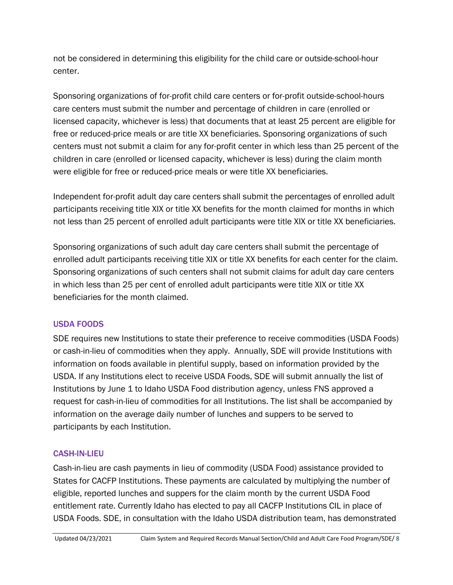not be considered in determining this eligibility for the child care or outside-school-hour center.

Sponsoring organizations of for-profit child care centers or for-profit outside-school-hours care centers must submit the number and percentage of children in care (enrolled or licensed capacity, whichever is less) that documents that at least 25 percent are eligible for free or reduced-price meals or are title XX beneficiaries. Sponsoring organizations of such centers must not submit a claim for any for-profit center in which less than 25 percent of the children in care (enrolled or licensed capacity, whichever is less) during the claim month were eligible for free or reduced-price meals or were title XX beneficiaries.

Independent for-profit adult day care centers shall submit the percentages of enrolled adult participants receiving title XIX or title XX benefits for the month claimed for months in which not less than 25 percent of enrolled adult participants were title XIX or title XX beneficiaries.

Sponsoring organizations of such adult day care centers shall submit the percentage of enrolled adult participants receiving title XIX or title XX benefits for each center for the claim. Sponsoring organizations of such centers shall not submit claims for adult day care centers in which less than 25 per cent of enrolled adult participants were title XIX or title XX beneficiaries for the month claimed.

## USDA FOODS

SDE requires new Institutions to state their preference to receive commodities (USDA Foods) or cash-in-lieu of commodities when they apply. Annually, SDE will provide Institutions with information on foods available in plentiful supply, based on information provided by the USDA. If any Institutions elect to receive USDA Foods, SDE will submit annually the list of Institutions by June 1 to Idaho USDA Food distribution agency, unless FNS approved a request for cash-in-lieu of commodities for all Institutions. The list shall be accompanied by information on the average daily number of lunches and suppers to be served to participants by each Institution.

## CASH-IN-LIEU

Cash-in-lieu are cash payments in lieu of commodity (USDA Food) assistance provided to States for CACFP Institutions. These payments are calculated by multiplying the number of eligible, reported lunches and suppers for the claim month by the current USDA Food entitlement rate. Currently Idaho has elected to pay all CACFP Institutions CIL in place of USDA Foods. SDE, in consultation with the Idaho USDA distribution team, has demonstrated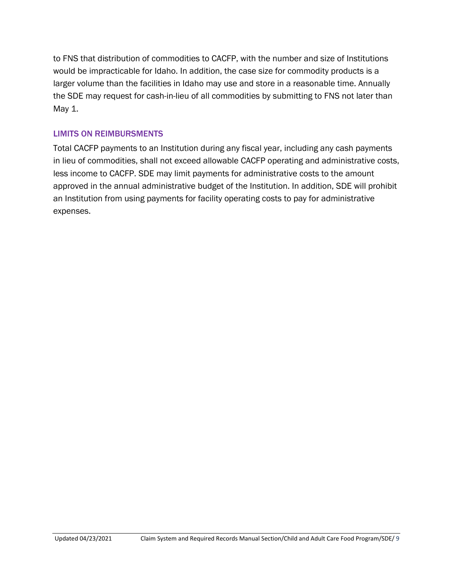to FNS that distribution of commodities to CACFP, with the number and size of Institutions would be impracticable for Idaho. In addition, the case size for commodity products is a larger volume than the facilities in Idaho may use and store in a reasonable time. Annually the SDE may request for cash-in-lieu of all commodities by submitting to FNS not later than May 1.

### LIMITS ON REIMBURSMENTS

Total CACFP payments to an Institution during any fiscal year, including any cash payments in lieu of commodities, shall not exceed allowable CACFP operating and administrative costs, less income to CACFP. SDE may limit payments for administrative costs to the amount approved in the annual administrative budget of the Institution. In addition, SDE will prohibit an Institution from using payments for facility operating costs to pay for administrative expenses.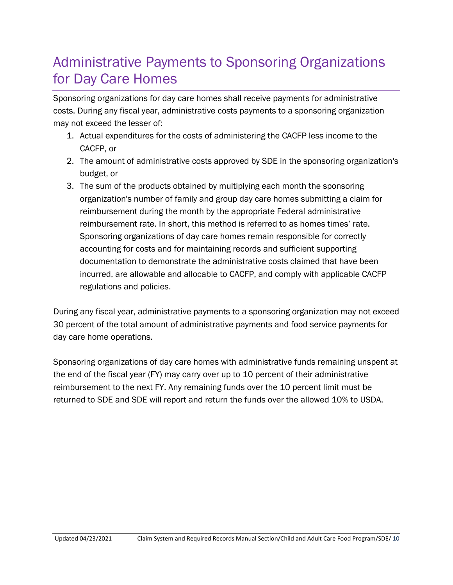## <span id="page-9-0"></span>Administrative Payments to Sponsoring Organizations for Day Care Homes

Sponsoring organizations for day care homes shall receive payments for administrative costs. During any fiscal year, administrative costs payments to a sponsoring organization may not exceed the lesser of:

- 1. Actual expenditures for the costs of administering the CACFP less income to the CACFP, or
- 2. The amount of administrative costs approved by SDE in the sponsoring organization's budget, or
- 3. The sum of the products obtained by multiplying each month the sponsoring organization's number of family and group day care homes submitting a claim for reimbursement during the month by the appropriate Federal administrative reimbursement rate. In short, this method is referred to as homes times' rate. Sponsoring organizations of day care homes remain responsible for correctly accounting for costs and for maintaining records and sufficient supporting documentation to demonstrate the administrative costs claimed that have been incurred, are allowable and allocable to CACFP, and comply with applicable CACFP regulations and policies.

During any fiscal year, administrative payments to a sponsoring organization may not exceed 30 percent of the total amount of administrative payments and food service payments for day care home operations.

Sponsoring organizations of day care homes with administrative funds remaining unspent at the end of the fiscal year (FY) may carry over up to 10 percent of their administrative reimbursement to the next FY. Any remaining funds over the 10 percent limit must be returned to SDE and SDE will report and return the funds over the allowed 10% to USDA.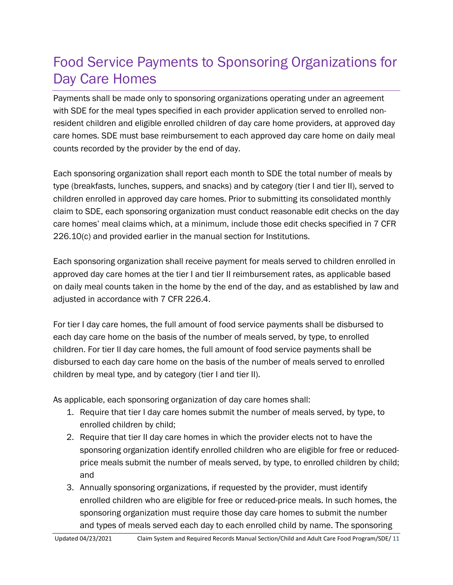## <span id="page-10-0"></span>Food Service Payments to Sponsoring Organizations for Day Care Homes

Payments shall be made only to sponsoring organizations operating under an agreement with SDE for the meal types specified in each provider application served to enrolled nonresident children and eligible enrolled children of day care home providers, at approved day care homes. SDE must base reimbursement to each approved day care home on daily meal counts recorded by the provider by the end of day.

Each sponsoring organization shall report each month to SDE the total number of meals by type (breakfasts, lunches, suppers, and snacks) and by category (tier I and tier II), served to children enrolled in approved day care homes. Prior to submitting its consolidated monthly claim to SDE, each sponsoring organization must conduct reasonable edit checks on the day care homes' meal claims which, at a minimum, include those edit checks specified in 7 CFR 226.10(c) and provided earlier in the manual section for Institutions.

Each sponsoring organization shall receive payment for meals served to children enrolled in approved day care homes at the tier I and tier II reimbursement rates, as applicable based on daily meal counts taken in the home by the end of the day, and as established by law and adjusted in accordance with 7 CFR 226.4.

For tier I day care homes, the full amount of food service payments shall be disbursed to each day care home on the basis of the number of meals served, by type, to enrolled children. For tier II day care homes, the full amount of food service payments shall be disbursed to each day care home on the basis of the number of meals served to enrolled children by meal type, and by category (tier I and tier II).

As applicable, each sponsoring organization of day care homes shall:

- 1. Require that tier I day care homes submit the number of meals served, by type, to enrolled children by child;
- 2. Require that tier II day care homes in which the provider elects not to have the sponsoring organization identify enrolled children who are eligible for free or reducedprice meals submit the number of meals served, by type, to enrolled children by child; and
- 3. Annually sponsoring organizations, if requested by the provider, must identify enrolled children who are eligible for free or reduced-price meals. In such homes, the sponsoring organization must require those day care homes to submit the number and types of meals served each day to each enrolled child by name. The sponsoring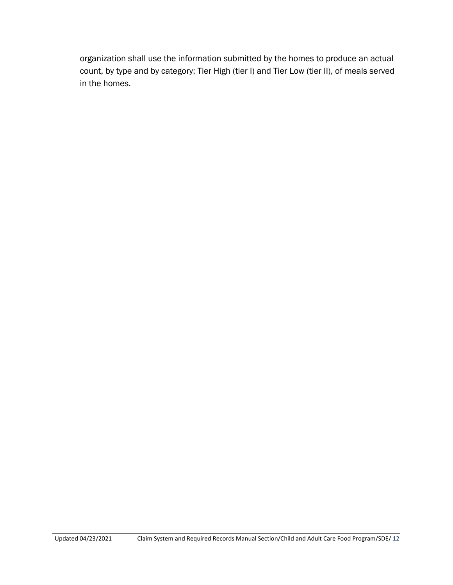organization shall use the information submitted by the homes to produce an actual count, by type and by category; Tier High (tier I) and Tier Low (tier II), of meals served in the homes.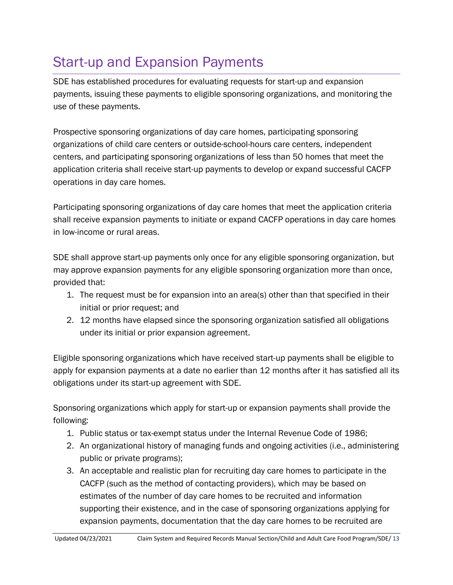## <span id="page-12-0"></span>Start-up and Expansion Payments

SDE has established procedures for evaluating requests for start-up and expansion payments, issuing these payments to eligible sponsoring organizations, and monitoring the use of these payments.

Prospective sponsoring organizations of day care homes, participating sponsoring organizations of child care centers or outside-school-hours care centers, independent centers, and participating sponsoring organizations of less than 50 homes that meet the application criteria shall receive start-up payments to develop or expand successful CACFP operations in day care homes.

Participating sponsoring organizations of day care homes that meet the application criteria shall receive expansion payments to initiate or expand CACFP operations in day care homes in low-income or rural areas.

SDE shall approve start-up payments only once for any eligible sponsoring organization, but may approve expansion payments for any eligible sponsoring organization more than once, provided that:

- 1. The request must be for expansion into an area(s) other than that specified in their initial or prior request; and
- 2. 12 months have elapsed since the sponsoring organization satisfied all obligations under its initial or prior expansion agreement.

Eligible sponsoring organizations which have received start-up payments shall be eligible to apply for expansion payments at a date no earlier than 12 months after it has satisfied all its obligations under its start-up agreement with SDE.

Sponsoring organizations which apply for start-up or expansion payments shall provide the following:

- 1. Public status or tax-exempt status under the Internal Revenue Code of 1986;
- 2. An organizational history of managing funds and ongoing activities (i.e., administering public or private programs);
- 3. An acceptable and realistic plan for recruiting day care homes to participate in the CACFP (such as the method of contacting providers), which may be based on estimates of the number of day care homes to be recruited and information supporting their existence, and in the case of sponsoring organizations applying for expansion payments, documentation that the day care homes to be recruited are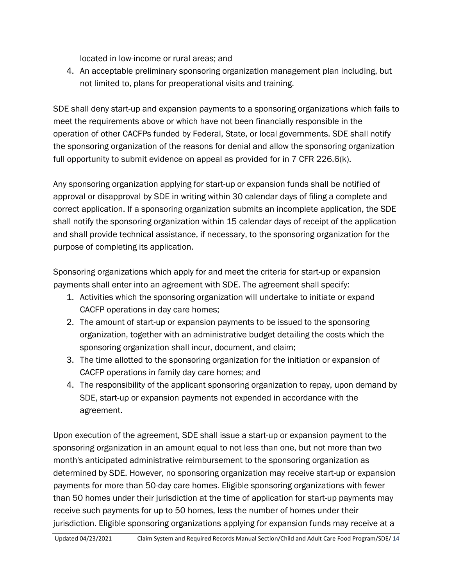located in low-income or rural areas; and

4. An acceptable preliminary sponsoring organization management plan including, but not limited to, plans for preoperational visits and training.

SDE shall deny start-up and expansion payments to a sponsoring organizations which fails to meet the requirements above or which have not been financially responsible in the operation of other CACFPs funded by Federal, State, or local governments. SDE shall notify the sponsoring organization of the reasons for denial and allow the sponsoring organization full opportunity to submit evidence on appeal as provided for in 7 CFR 226.6(k).

Any sponsoring organization applying for start-up or expansion funds shall be notified of approval or disapproval by SDE in writing within 30 calendar days of filing a complete and correct application. If a sponsoring organization submits an incomplete application, the SDE shall notify the sponsoring organization within 15 calendar days of receipt of the application and shall provide technical assistance, if necessary, to the sponsoring organization for the purpose of completing its application.

Sponsoring organizations which apply for and meet the criteria for start-up or expansion payments shall enter into an agreement with SDE. The agreement shall specify:

- 1. Activities which the sponsoring organization will undertake to initiate or expand CACFP operations in day care homes;
- 2. The amount of start-up or expansion payments to be issued to the sponsoring organization, together with an administrative budget detailing the costs which the sponsoring organization shall incur, document, and claim;
- 3. The time allotted to the sponsoring organization for the initiation or expansion of CACFP operations in family day care homes; and
- 4. The responsibility of the applicant sponsoring organization to repay, upon demand by SDE, start-up or expansion payments not expended in accordance with the agreement.

Upon execution of the agreement, SDE shall issue a start-up or expansion payment to the sponsoring organization in an amount equal to not less than one, but not more than two month's anticipated administrative reimbursement to the sponsoring organization as determined by SDE. However, no sponsoring organization may receive start-up or expansion payments for more than 50-day care homes. Eligible sponsoring organizations with fewer than 50 homes under their jurisdiction at the time of application for start-up payments may receive such payments for up to 50 homes, less the number of homes under their jurisdiction. Eligible sponsoring organizations applying for expansion funds may receive at a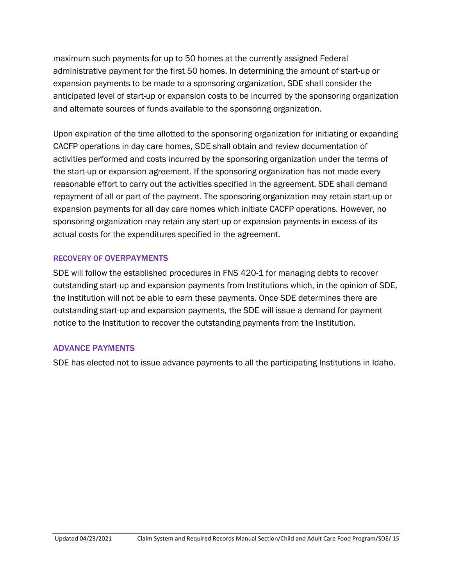maximum such payments for up to 50 homes at the currently assigned Federal administrative payment for the first 50 homes. In determining the amount of start-up or expansion payments to be made to a sponsoring organization, SDE shall consider the anticipated level of start-up or expansion costs to be incurred by the sponsoring organization and alternate sources of funds available to the sponsoring organization.

Upon expiration of the time allotted to the sponsoring organization for initiating or expanding CACFP operations in day care homes, SDE shall obtain and review documentation of activities performed and costs incurred by the sponsoring organization under the terms of the start-up or expansion agreement. If the sponsoring organization has not made every reasonable effort to carry out the activities specified in the agreement, SDE shall demand repayment of all or part of the payment. The sponsoring organization may retain start-up or expansion payments for all day care homes which initiate CACFP operations. However, no sponsoring organization may retain any start-up or expansion payments in excess of its actual costs for the expenditures specified in the agreement.

#### RECOVERY OF OVERPAYMENTS

SDE will follow the established procedures in FNS 420-1 for managing debts to recover outstanding start-up and expansion payments from Institutions which, in the opinion of SDE, the Institution will not be able to earn these payments. Once SDE determines there are outstanding start-up and expansion payments, the SDE will issue a demand for payment notice to the Institution to recover the outstanding payments from the Institution.

## ADVANCE PAYMENTS

SDE has elected not to issue advance payments to all the participating Institutions in Idaho.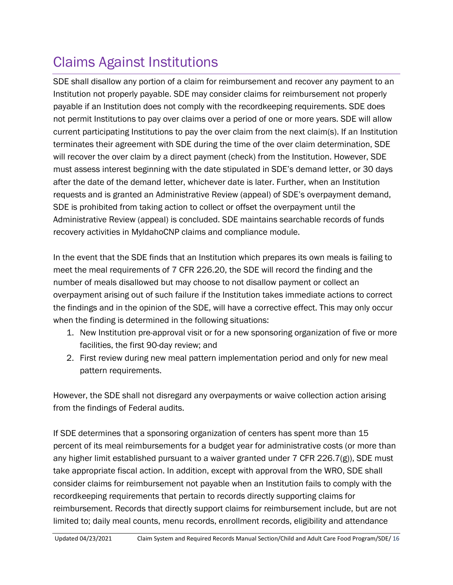## <span id="page-15-0"></span>Claims Against Institutions

SDE shall disallow any portion of a claim for reimbursement and recover any payment to an Institution not properly payable. SDE may consider claims for reimbursement not properly payable if an Institution does not comply with the recordkeeping requirements. SDE does not permit Institutions to pay over claims over a period of one or more years. SDE will allow current participating Institutions to pay the over claim from the next claim(s). If an Institution terminates their agreement with SDE during the time of the over claim determination, SDE will recover the over claim by a direct payment (check) from the Institution. However, SDE must assess interest beginning with the date stipulated in SDE's demand letter, or 30 days after the date of the demand letter, whichever date is later. Further, when an Institution requests and is granted an Administrative Review (appeal) of SDE's overpayment demand, SDE is prohibited from taking action to collect or offset the overpayment until the Administrative Review (appeal) is concluded. SDE maintains searchable records of funds recovery activities in MyIdahoCNP claims and compliance module.

In the event that the SDE finds that an Institution which prepares its own meals is failing to meet the meal requirements of 7 CFR 226.20, the SDE will record the finding and the number of meals disallowed but may choose to not disallow payment or collect an overpayment arising out of such failure if the Institution takes immediate actions to correct the findings and in the opinion of the SDE, will have a corrective effect. This may only occur when the finding is determined in the following situations:

- 1. New Institution pre-approval visit or for a new sponsoring organization of five or more facilities, the first 90-day review; and
- 2. First review during new meal pattern implementation period and only for new meal pattern requirements.

However, the SDE shall not disregard any overpayments or waive collection action arising from the findings of Federal audits.

If SDE determines that a sponsoring organization of centers has spent more than 15 percent of its meal reimbursements for a budget year for administrative costs (or more than any higher limit established pursuant to a waiver granted under 7 CFR 226.7(g)), SDE must take appropriate fiscal action. In addition, except with approval from the WRO, SDE shall consider claims for reimbursement not payable when an Institution fails to comply with the recordkeeping requirements that pertain to records directly supporting claims for reimbursement. Records that directly support claims for reimbursement include, but are not limited to; daily meal counts, menu records, enrollment records, eligibility and attendance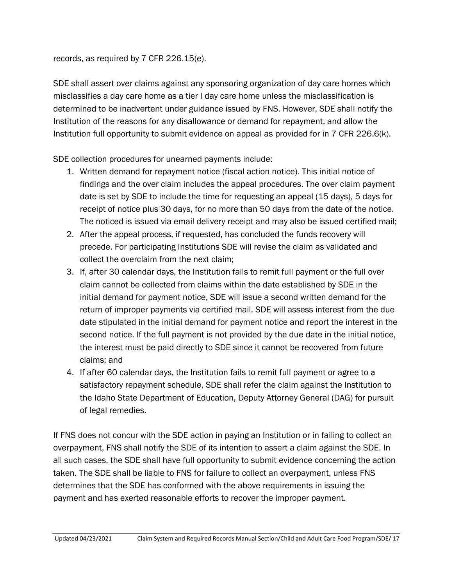## records, as required by 7 CFR 226.15(e).

SDE shall assert over claims against any sponsoring organization of day care homes which misclassifies a day care home as a tier I day care home unless the misclassification is determined to be inadvertent under guidance issued by FNS. However, SDE shall notify the Institution of the reasons for any disallowance or demand for repayment, and allow the Institution full opportunity to submit evidence on appeal as provided for in 7 CFR 226.6(k).

SDE collection procedures for unearned payments include:

- 1. Written demand for repayment notice (fiscal action notice). This initial notice of findings and the over claim includes the appeal procedures. The over claim payment date is set by SDE to include the time for requesting an appeal (15 days), 5 days for receipt of notice plus 30 days, for no more than 50 days from the date of the notice. The noticed is issued via email delivery receipt and may also be issued certified mail;
- 2. After the appeal process, if requested, has concluded the funds recovery will precede. For participating Institutions SDE will revise the claim as validated and collect the overclaim from the next claim;
- 3. If, after 30 calendar days, the Institution fails to remit full payment or the full over claim cannot be collected from claims within the date established by SDE in the initial demand for payment notice, SDE will issue a second written demand for the return of improper payments via certified mail. SDE will assess interest from the due date stipulated in the initial demand for payment notice and report the interest in the second notice. If the full payment is not provided by the due date in the initial notice, the interest must be paid directly to SDE since it cannot be recovered from future claims; and
- 4. If after 60 calendar days, the Institution fails to remit full payment or agree to a satisfactory repayment schedule, SDE shall refer the claim against the Institution to the Idaho State Department of Education, Deputy Attorney General (DAG) for pursuit of legal remedies.

If FNS does not concur with the SDE action in paying an Institution or in failing to collect an overpayment, FNS shall notify the SDE of its intention to assert a claim against the SDE. In all such cases, the SDE shall have full opportunity to submit evidence concerning the action taken. The SDE shall be liable to FNS for failure to collect an overpayment, unless FNS determines that the SDE has conformed with the above requirements in issuing the payment and has exerted reasonable efforts to recover the improper payment.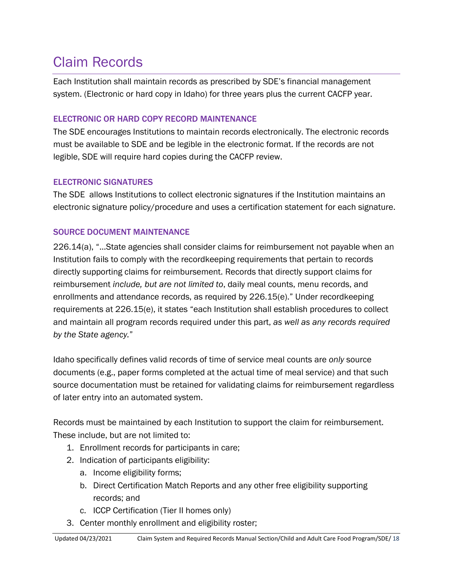## <span id="page-17-0"></span>Claim Records

Each Institution shall maintain records as prescribed by SDE's financial management system. (Electronic or hard copy in Idaho) for three years plus the current CACFP year.

## ELECTRONIC OR HARD COPY RECORD MAINTENANCE

The SDE encourages Institutions to maintain records electronically. The electronic records must be available to SDE and be legible in the electronic format. If the records are not legible, SDE will require hard copies during the CACFP review.

## ELECTRONIC SIGNATURES

The SDE allows Institutions to collect electronic signatures if the Institution maintains an electronic signature policy/procedure and uses a certification statement for each signature.

## SOURCE DOCUMENT MAINTENANCE

226.14(a), "…State agencies shall consider claims for reimbursement not payable when an Institution fails to comply with the recordkeeping requirements that pertain to records directly supporting claims for reimbursement. Records that directly support claims for reimbursement *include, but are not limited to*, daily meal counts, menu records, and enrollments and attendance records, as required by 226.15(e)." Under recordkeeping requirements at 226.15(e), it states "each Institution shall establish procedures to collect and maintain all program records required under this part, *as well as any records required by the State agency.*"

Idaho specifically defines valid records of time of service meal counts are *only* source documents (e.g., paper forms completed at the actual time of meal service) and that such source documentation must be retained for validating claims for reimbursement regardless of later entry into an automated system.

Records must be maintained by each Institution to support the claim for reimbursement. These include, but are not limited to:

- 1. Enrollment records for participants in care;
- 2. Indication of participants eligibility:
	- a. Income eligibility forms;
	- b. Direct Certification Match Reports and any other free eligibility supporting records; and
	- c. ICCP Certification (Tier II homes only)
- 3. Center monthly enrollment and eligibility roster;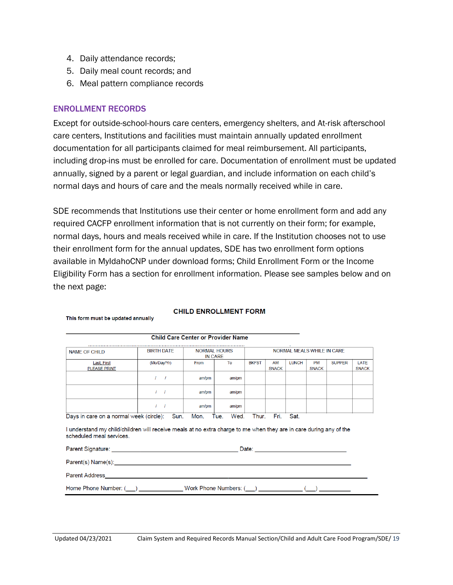- 4. Daily attendance records;
- 5. Daily meal count records; and
- 6. Meal pattern compliance records

#### ENROLLMENT RECORDS

This form must be updated annually

Except for outside-school-hours care centers, emergency shelters, and At-risk afterschool care centers, Institutions and facilities must maintain annually updated enrollment documentation for all participants claimed for meal reimbursement. All participants, including drop-ins must be enrolled for care. Documentation of enrollment must be updated annually, signed by a parent or legal guardian, and include information on each child's normal days and hours of care and the meals normally received while in care.

SDE recommends that Institutions use their center or home enrollment form and add any required CACFP enrollment information that is not currently on their form; for example, normal days, hours and meals received while in care. If the Institution chooses not to use their enrollment form for the annual updates, SDE has two enrollment form options available in MyIdahoCNP under download forms; Child Enrollment Form or the Income Eligibility Form has a section for enrollment information. Please see samples below and on the next page:

| <b>NAME OF CHILD</b>                    | <b>BIRTH DATE</b> |       | <b>NORMAL HOURS</b><br><b>IN CARE</b> |              | NORMAL MEALS WHILE IN CARE |              |                           |               |                      |  |
|-----------------------------------------|-------------------|-------|---------------------------------------|--------------|----------------------------|--------------|---------------------------|---------------|----------------------|--|
| Last, First<br><b>PLEASE PRINT</b>      | (Mo/Day/Yr)       | From  | To                                    | <b>BKFST</b> | AM<br><b>SNACK</b>         | <b>LUNCH</b> | <b>PM</b><br><b>SNACK</b> | <b>SUPPER</b> | LATE<br><b>SNACK</b> |  |
|                                         |                   | am/pm | am/pm                                 |              |                            |              |                           |               |                      |  |
|                                         |                   | am/pm | am/pm                                 |              |                            |              |                           |               |                      |  |
|                                         |                   | am/pm | am/pm                                 |              |                            |              |                           |               |                      |  |
| Days in care on a normal week (circle): | Sun.              | Mon.  | Wed.<br>Tue.                          | Thur.        | Fri.                       | Sat.         |                           |               |                      |  |

#### **CHILD ENROLLMENT FORM**

Child Care Center or Provider Name

scheduled meal services.

Parent Signature: Date: Parent(s) Name(s): Name (s) and the set of the set of the set of the set of the set of the set of the set of the set of the set of the set of the set of the set of the set of the set of the set of the set of the set of the Parent Address\_ Home Phone Number: (\_\_) \_\_ Work Phone Numbers: (\_\_\_) \_\_  $\left(\_\_\right)$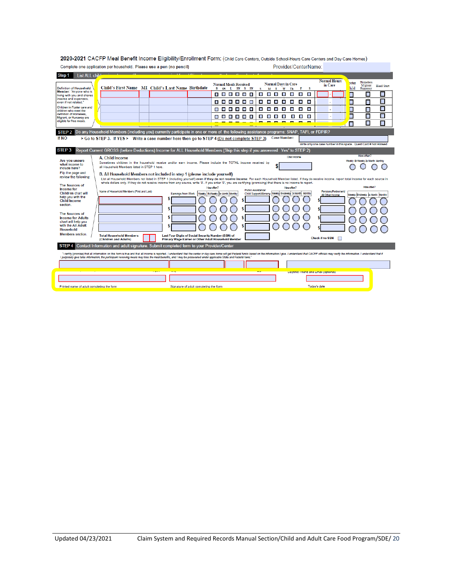| Complete one application per household. Please use a pen (no pencil)                                                                                                                                                          | Provider/CenterName                                                                                                                                               |                                                                                                                     |                                                                                                                                                                                                              |  |  |  |  |  |
|-------------------------------------------------------------------------------------------------------------------------------------------------------------------------------------------------------------------------------|-------------------------------------------------------------------------------------------------------------------------------------------------------------------|---------------------------------------------------------------------------------------------------------------------|--------------------------------------------------------------------------------------------------------------------------------------------------------------------------------------------------------------|--|--|--|--|--|
| List ALL child<br>Step 1                                                                                                                                                                                                      |                                                                                                                                                                   |                                                                                                                     |                                                                                                                                                                                                              |  |  |  |  |  |
| Child's First Name MI Child's Last Name Birthdate<br><b>Definition of Household</b>                                                                                                                                           | <b>Normal Meals Received</b><br>B SN L SN S SN                                                                                                                    | <b>Normal Days in Care</b><br>M T W Th<br>Ŧ<br>s                                                                    | <b>Normal Hours</b><br>Homeless<br>oster<br>in Care<br>Migrant<br><b>Head Start</b><br>hild<br>- S<br>Runaway                                                                                                |  |  |  |  |  |
| Member: "Anyone who is<br>living with you and shares                                                                                                                                                                          | .<br>$\blacksquare$                                                                                                                                               | ш<br>L.<br><b>The Second</b><br>$\blacksquare$<br>ш<br>$\blacksquare$                                               | П<br>Π<br>$\overline{\phantom{a}}$                                                                                                                                                                           |  |  |  |  |  |
| income and expenses.<br>even if not related."                                                                                                                                                                                 | .<br>$\blacksquare$                                                                                                                                               | $\blacksquare$<br><b>The State</b><br>ш<br>ш<br>$\blacksquare$<br>$\overline{\phantom{a}}$<br>П                     | П<br>П<br>$\overline{\phantom{a}}$                                                                                                                                                                           |  |  |  |  |  |
| Children in Foster care and                                                                                                                                                                                                   | $\blacksquare$                                                                                                                                                    | $\blacksquare$<br>$\mathcal{L}_{\mathcal{A}}$<br>$\blacksquare$<br>$\blacksquare$<br>$\mathbf{u}$<br>$\blacksquare$ | $\Box$<br>E<br>П<br>$\Box$                                                                                                                                                                                   |  |  |  |  |  |
| children who meet the<br>definition of Homeless.                                                                                                                                                                              |                                                                                                                                                                   | $\blacksquare$<br>$\mathcal{L}_{\mathcal{A}}$<br>п                                                                  | Ō<br>П<br>$\Box$<br>$\overline{\phantom{a}}$                                                                                                                                                                 |  |  |  |  |  |
| Migrant, or Runaway are<br>eligible for free meals.                                                                                                                                                                           | ------                                                                                                                                                            | п<br><b>I</b><br>ш                                                                                                  | Ō                                                                                                                                                                                                            |  |  |  |  |  |
|                                                                                                                                                                                                                               |                                                                                                                                                                   |                                                                                                                     | П<br>П                                                                                                                                                                                                       |  |  |  |  |  |
| Do any Household Members (including you) currently participate in one or more of the following assistance programs: SNAP, TAFI, or FDPIR?<br>STEP <sub>2</sub>                                                                |                                                                                                                                                                   |                                                                                                                     |                                                                                                                                                                                                              |  |  |  |  |  |
| If NO<br>> Go to STEP 3. If YES > Write a case number here then go to STEP 4 (Do not complete STEP 3)                                                                                                                         |                                                                                                                                                                   | <b>Case Number:</b>                                                                                                 |                                                                                                                                                                                                              |  |  |  |  |  |
|                                                                                                                                                                                                                               |                                                                                                                                                                   |                                                                                                                     | Write only one case number in this space. Quest Card # Not Allowed                                                                                                                                           |  |  |  |  |  |
| STEP <sub>3</sub><br>Report Current GROSS (before Deductions) Income for ALL Household Members (Skip this step if you answered Yes" to STEP 2)                                                                                |                                                                                                                                                                   |                                                                                                                     |                                                                                                                                                                                                              |  |  |  |  |  |
| A. Child Income                                                                                                                                                                                                               |                                                                                                                                                                   | Child income                                                                                                        | How often?                                                                                                                                                                                                   |  |  |  |  |  |
| Are you unsure<br>what income to                                                                                                                                                                                              | Sometimes children in the household receive and/or earn income. Please include the TOTAL income received by                                                       |                                                                                                                     | Weekly BI-Weekly 2x Month Monthly                                                                                                                                                                            |  |  |  |  |  |
| all Household Members listed in STEP 1 here.<br>include here?                                                                                                                                                                 |                                                                                                                                                                   |                                                                                                                     |                                                                                                                                                                                                              |  |  |  |  |  |
| Flip the page and<br>B. All Household Members not included in step 1 (please include yourself)<br>review the following:                                                                                                       |                                                                                                                                                                   |                                                                                                                     |                                                                                                                                                                                                              |  |  |  |  |  |
|                                                                                                                                                                                                                               | whole dollars only. If they do not receive income from any source, write '0'. If you enter '0', you are certifying (promising) that there is no income to report. |                                                                                                                     | List all Household Members not listed in STEP 1 (including yourself) even if they do not receive income. For each Household Member listed, if they do receive income, report total income for each source in |  |  |  |  |  |
| The Sources of<br><b>Income for</b>                                                                                                                                                                                           | How often?                                                                                                                                                        | How often?<br><b>Public Assistance/</b>                                                                             | How often?                                                                                                                                                                                                   |  |  |  |  |  |
| Name of Household Members (First and Last)<br><b>Children chart will</b>                                                                                                                                                      | <b>Earnings from Work</b><br>Weekly <b>BI-Weekly</b> Dx Month Monthly                                                                                             | Child Support/Alimony   Weekly BI-Weekly 2x Month<br><b>Monthly</b>                                                 | Pensions/Retrement/<br>Veekly BI-Weekly 2x Month Monthly<br>All Other Income                                                                                                                                 |  |  |  |  |  |
| help you with the<br><b>Child Income</b>                                                                                                                                                                                      |                                                                                                                                                                   |                                                                                                                     |                                                                                                                                                                                                              |  |  |  |  |  |
| section.                                                                                                                                                                                                                      |                                                                                                                                                                   |                                                                                                                     |                                                                                                                                                                                                              |  |  |  |  |  |
| The Sources of                                                                                                                                                                                                                |                                                                                                                                                                   |                                                                                                                     |                                                                                                                                                                                                              |  |  |  |  |  |
| <b>Income for Adults</b>                                                                                                                                                                                                      | S                                                                                                                                                                 |                                                                                                                     |                                                                                                                                                                                                              |  |  |  |  |  |
| chart will help you<br>with the All Adult                                                                                                                                                                                     |                                                                                                                                                                   |                                                                                                                     |                                                                                                                                                                                                              |  |  |  |  |  |
| <b>Household</b>                                                                                                                                                                                                              |                                                                                                                                                                   |                                                                                                                     |                                                                                                                                                                                                              |  |  |  |  |  |
| <b>Members</b> section.<br><b>Total Household Members</b><br>(Children and Adults)                                                                                                                                            | Last Four Digits of Social Security Number (SSN) of<br>Primary Wage Earner or Other Adult Household Member                                                        |                                                                                                                     | <b>Check if no SSN</b>                                                                                                                                                                                       |  |  |  |  |  |
| Contact Information and adult signature. Submit completed form to your Provider/Center<br>STEP <sub>4</sub>                                                                                                                   |                                                                                                                                                                   |                                                                                                                     |                                                                                                                                                                                                              |  |  |  |  |  |
| "I certify (promise) that all information on this form is true and that all income is reported. I understand that the center or day care home will get Federal funds based on the information I give. I understand that if of |                                                                                                                                                                   |                                                                                                                     |                                                                                                                                                                                                              |  |  |  |  |  |
| I purposely give false information, the participant receiving meals may lose the meal benefits, and I may be prosecuted under applicable State and Federal laws."                                                             |                                                                                                                                                                   |                                                                                                                     |                                                                                                                                                                                                              |  |  |  |  |  |
|                                                                                                                                                                                                                               |                                                                                                                                                                   |                                                                                                                     |                                                                                                                                                                                                              |  |  |  |  |  |
|                                                                                                                                                                                                                               |                                                                                                                                                                   |                                                                                                                     | Daytime innone and Email (optional)                                                                                                                                                                          |  |  |  |  |  |
|                                                                                                                                                                                                                               |                                                                                                                                                                   |                                                                                                                     |                                                                                                                                                                                                              |  |  |  |  |  |
|                                                                                                                                                                                                                               |                                                                                                                                                                   |                                                                                                                     |                                                                                                                                                                                                              |  |  |  |  |  |

2020-2021 CACFP Meal Benefit Income Eligibility/Enrollment Form: (Child Care Centers, Outside School-Hours Care Centers and Day Care Homes)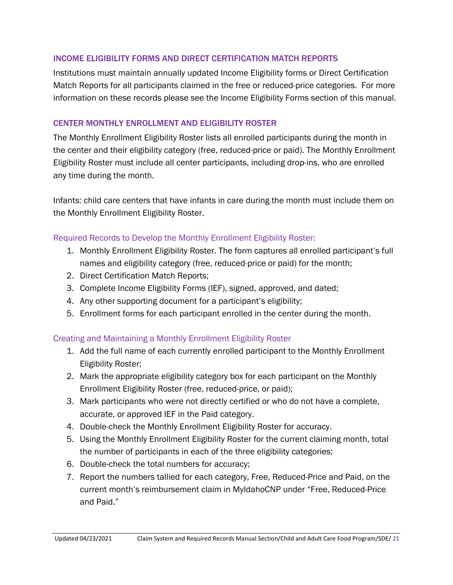### INCOME ELIGIBILITY FORMS AND DIRECT CERTIFICATION MATCH REPORTS

Institutions must maintain annually updated Income Eligibility forms or Direct Certification Match Reports for all participants claimed in the free or reduced-price categories. For more information on these records please see the Income Eligibility Forms section of this manual.

## CENTER MONTHLY ENROLLMENT AND ELIGIBILITY ROSTER

The Monthly Enrollment Eligibility Roster lists all enrolled participants during the month in the center and their eligibility category (free, reduced-price or paid). The Monthly Enrollment Eligibility Roster must include all center participants, including drop-ins, who are enrolled any time during the month.

Infants: child care centers that have infants in care during the month must include them on the Monthly Enrollment Eligibility Roster.

## Required Records to Develop the Monthly Enrollment Eligibility Roster:

- 1. Monthly Enrollment Eligibility Roster. The form captures all enrolled participant's full names and eligibility category (free, reduced-price or paid) for the month;
- 2. Direct Certification Match Reports;
- 3. Complete Income Eligibility Forms (IEF), signed, approved, and dated;
- 4. Any other supporting document for a participant's eligibility;
- 5. Enrollment forms for each participant enrolled in the center during the month.

## Creating and Maintaining a Monthly Enrollment Eligibility Roster

- 1. Add the full name of each currently enrolled participant to the Monthly Enrollment Eligibility Roster;
- 2. Mark the appropriate eligibility category box for each participant on the Monthly Enrollment Eligibility Roster (free, reduced-price, or paid);
- 3. Mark participants who were not directly certified or who do not have a complete, accurate, or approved IEF in the Paid category.
- 4. Double-check the Monthly Enrollment Eligibility Roster for accuracy.
- 5. Using the Monthly Enrollment Eligibility Roster for the current claiming month, total the number of participants in each of the three eligibility categories;
- 6. Double-check the total numbers for accuracy;
- 7. Report the numbers tallied for each category, Free, Reduced-Price and Paid, on the current month's reimbursement claim in MyIdahoCNP under "Free, Reduced-Price and Paid."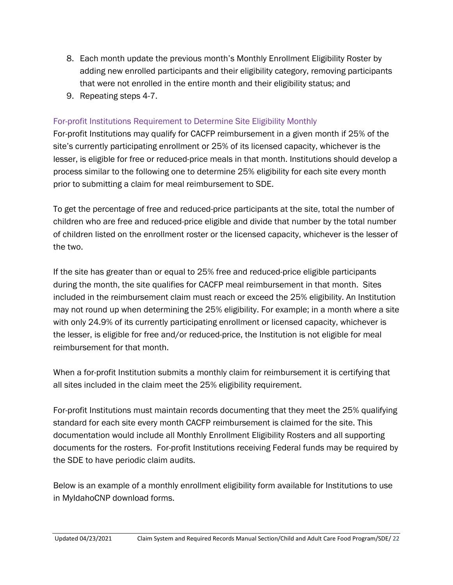- 8. Each month update the previous month's Monthly Enrollment Eligibility Roster by adding new enrolled participants and their eligibility category, removing participants that were not enrolled in the entire month and their eligibility status; and
- 9. Repeating steps 4-7.

## For-profit Institutions Requirement to Determine Site Eligibility Monthly

For-profit Institutions may qualify for CACFP reimbursement in a given month if 25% of the site's currently participating enrollment or 25% of its licensed capacity, whichever is the lesser, is eligible for free or reduced-price meals in that month. Institutions should develop a process similar to the following one to determine 25% eligibility for each site every month prior to submitting a claim for meal reimbursement to SDE.

To get the percentage of free and reduced-price participants at the site, total the number of children who are free and reduced-price eligible and divide that number by the total number of children listed on the enrollment roster or the licensed capacity, whichever is the lesser of the two.

If the site has greater than or equal to 25% free and reduced-price eligible participants during the month, the site qualifies for CACFP meal reimbursement in that month. Sites included in the reimbursement claim must reach or exceed the 25% eligibility. An Institution may not round up when determining the 25% eligibility. For example; in a month where a site with only 24.9% of its currently participating enrollment or licensed capacity, whichever is the lesser, is eligible for free and/or reduced-price, the Institution is not eligible for meal reimbursement for that month.

When a for-profit Institution submits a monthly claim for reimbursement it is certifying that all sites included in the claim meet the 25% eligibility requirement.

For-profit Institutions must maintain records documenting that they meet the 25% qualifying standard for each site every month CACFP reimbursement is claimed for the site. This documentation would include all Monthly Enrollment Eligibility Rosters and all supporting documents for the rosters. For-profit Institutions receiving Federal funds may be required by the SDE to have periodic claim audits.

Below is an example of a monthly enrollment eligibility form available for Institutions to use in MyIdahoCNP download forms.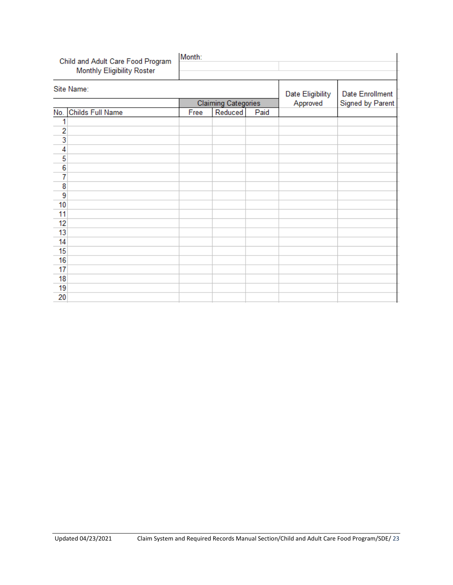| Child and Adult Care Food Program<br>Monthly Eligibility Roster | Month: |                            |      |                  |                  |
|-----------------------------------------------------------------|--------|----------------------------|------|------------------|------------------|
| Site Name:                                                      |        |                            |      | Date Eligibility | Date Enrollment  |
|                                                                 |        | <b>Claiming Categories</b> |      | Approved         | Signed by Parent |
| No. Childs Full Name                                            | Free   | Reduced                    | Paid |                  |                  |
| 1                                                               |        |                            |      |                  |                  |
| $\overline{c}$                                                  |        |                            |      |                  |                  |
| 3                                                               |        |                            |      |                  |                  |
| 4                                                               |        |                            |      |                  |                  |
| 5                                                               |        |                            |      |                  |                  |
| $\overline{6}$                                                  |        |                            |      |                  |                  |
| $\overline{7}$                                                  |        |                            |      |                  |                  |
| 8                                                               |        |                            |      |                  |                  |
| 9                                                               |        |                            |      |                  |                  |
| 10                                                              |        |                            |      |                  |                  |
| 11                                                              |        |                            |      |                  |                  |
| 12                                                              |        |                            |      |                  |                  |
| 13                                                              |        |                            |      |                  |                  |
| 14                                                              |        |                            |      |                  |                  |
| 15                                                              |        |                            |      |                  |                  |
| 16                                                              |        |                            |      |                  |                  |
| 17                                                              |        |                            |      |                  |                  |
| 18                                                              |        |                            |      |                  |                  |
| 19                                                              |        |                            |      |                  |                  |
| 20                                                              |        |                            |      |                  |                  |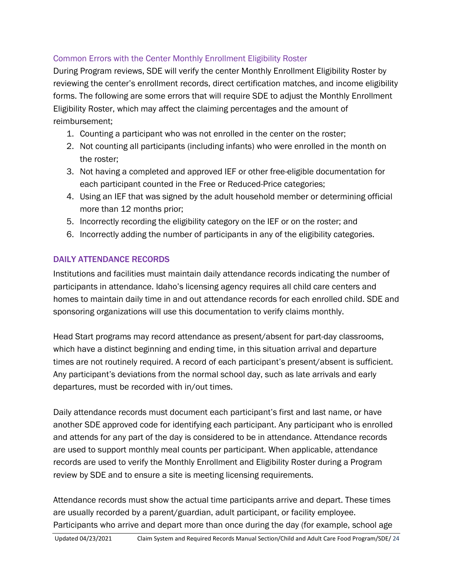## Common Errors with the Center Monthly Enrollment Eligibility Roster

During Program reviews, SDE will verify the center Monthly Enrollment Eligibility Roster by reviewing the center's enrollment records, direct certification matches, and income eligibility forms. The following are some errors that will require SDE to adjust the Monthly Enrollment Eligibility Roster, which may affect the claiming percentages and the amount of reimbursement;

- 1. Counting a participant who was not enrolled in the center on the roster;
- 2. Not counting all participants (including infants) who were enrolled in the month on the roster;
- 3. Not having a completed and approved IEF or other free-eligible documentation for each participant counted in the Free or Reduced-Price categories;
- 4. Using an IEF that was signed by the adult household member or determining official more than 12 months prior;
- 5. Incorrectly recording the eligibility category on the IEF or on the roster; and
- 6. Incorrectly adding the number of participants in any of the eligibility categories.

## DAILY ATTENDANCE RECORDS

Institutions and facilities must maintain daily attendance records indicating the number of participants in attendance. Idaho's licensing agency requires all child care centers and homes to maintain daily time in and out attendance records for each enrolled child. SDE and sponsoring organizations will use this documentation to verify claims monthly.

Head Start programs may record attendance as present/absent for part-day classrooms, which have a distinct beginning and ending time, in this situation arrival and departure times are not routinely required. A record of each participant's present/absent is sufficient. Any participant's deviations from the normal school day, such as late arrivals and early departures, must be recorded with in/out times.

Daily attendance records must document each participant's first and last name, or have another SDE approved code for identifying each participant. Any participant who is enrolled and attends for any part of the day is considered to be in attendance. Attendance records are used to support monthly meal counts per participant. When applicable, attendance records are used to verify the Monthly Enrollment and Eligibility Roster during a Program review by SDE and to ensure a site is meeting licensing requirements.

Attendance records must show the actual time participants arrive and depart. These times are usually recorded by a parent/guardian, adult participant, or facility employee. Participants who arrive and depart more than once during the day (for example, school age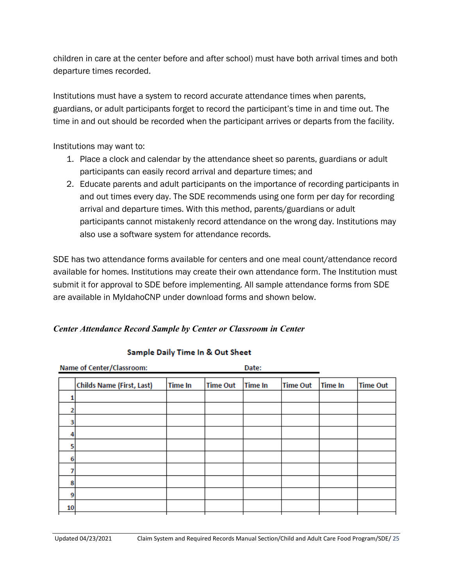children in care at the center before and after school) must have both arrival times and both departure times recorded.

Institutions must have a system to record accurate attendance times when parents, guardians, or adult participants forget to record the participant's time in and time out. The time in and out should be recorded when the participant arrives or departs from the facility.

Institutions may want to:

- 1. Place a clock and calendar by the attendance sheet so parents, guardians or adult participants can easily record arrival and departure times; and
- 2. Educate parents and adult participants on the importance of recording participants in and out times every day. The SDE recommends using one form per day for recording arrival and departure times. With this method, parents/guardians or adult participants cannot mistakenly record attendance on the wrong day. Institutions may also use a software system for attendance records.

SDE has two attendance forms available for centers and one meal count/attendance record available for homes. Institutions may create their own attendance form. The Institution must submit it for approval to SDE before implementing. All sample attendance forms from SDE are available in MyIdahoCNP under download forms and shown below.

## *Center Attendance Record Sample by Center or Classroom in Center*

| Name of Center/Classroom:        |                | Date:           |                |                 |                |                 |  |
|----------------------------------|----------------|-----------------|----------------|-----------------|----------------|-----------------|--|
| <b>Childs Name (First, Last)</b> | <b>Time In</b> | <b>Time Out</b> | <b>Time In</b> | <b>Time Out</b> | <b>Time In</b> | <b>Time Out</b> |  |
|                                  |                |                 |                |                 |                |                 |  |
|                                  |                |                 |                |                 |                |                 |  |
|                                  |                |                 |                |                 |                |                 |  |
|                                  |                |                 |                |                 |                |                 |  |
|                                  |                |                 |                |                 |                |                 |  |
|                                  |                |                 |                |                 |                |                 |  |
|                                  |                |                 |                |                 |                |                 |  |
|                                  |                |                 |                |                 |                |                 |  |
|                                  |                |                 |                |                 |                |                 |  |
|                                  |                |                 |                |                 |                |                 |  |
|                                  |                |                 |                |                 |                |                 |  |

## Sample Daily Time In & Out Sheet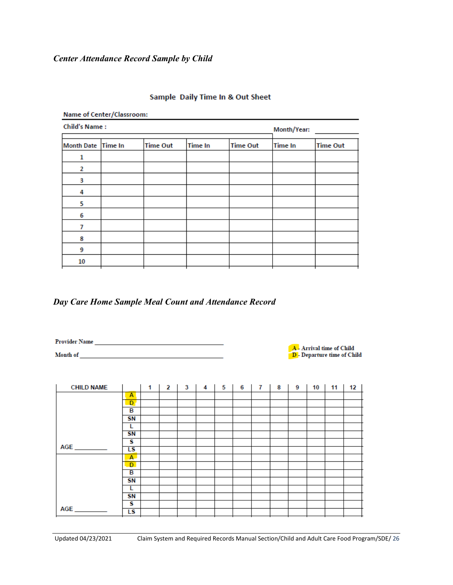#### *Center Attendance Record Sample by Child*

| Name of Center/Classroom: |                |                 |                |                 |                |                 |  |  |  |
|---------------------------|----------------|-----------------|----------------|-----------------|----------------|-----------------|--|--|--|
| <b>Child's Name:</b>      |                | Month/Year:     |                |                 |                |                 |  |  |  |
| <b>Month Date</b>         | <b>Time In</b> | <b>Time Out</b> | <b>Time In</b> | <b>Time Out</b> | <b>Time In</b> | <b>Time Out</b> |  |  |  |
| 1                         |                |                 |                |                 |                |                 |  |  |  |
| 2                         |                |                 |                |                 |                |                 |  |  |  |
| 3                         |                |                 |                |                 |                |                 |  |  |  |
| 4                         |                |                 |                |                 |                |                 |  |  |  |
| 5                         |                |                 |                |                 |                |                 |  |  |  |
| 6                         |                |                 |                |                 |                |                 |  |  |  |
| 7                         |                |                 |                |                 |                |                 |  |  |  |
| 8                         |                |                 |                |                 |                |                 |  |  |  |
| 9                         |                |                 |                |                 |                |                 |  |  |  |
| 10                        |                |                 |                |                 |                |                 |  |  |  |
|                           |                |                 |                |                 |                |                 |  |  |  |

#### Sample Daily Time In & Out Sheet

### *Day Care Home Sample Meal Count and Attendance Record*

Month of the contract of the contract of the contract of the contract of the contract of the contract of the contract of the contract of the contract of the contract of the contract of the contract of the contract of the c

 $\overline{A}$  - Arrival time of Child<br>D - Departure time of Child

| <b>CHILD NAME</b> |              | 1 | 2 | 3 | 4 | 5 | 6 | 7 | 8 | 9 | 10 | 11 | 12 |
|-------------------|--------------|---|---|---|---|---|---|---|---|---|----|----|----|
|                   | Α            |   |   |   |   |   |   |   |   |   |    |    |    |
|                   | D            |   |   |   |   |   |   |   |   |   |    |    |    |
|                   | в            |   |   |   |   |   |   |   |   |   |    |    |    |
|                   | <b>SN</b>    |   |   |   |   |   |   |   |   |   |    |    |    |
|                   | L            |   |   |   |   |   |   |   |   |   |    |    |    |
|                   | <b>SN</b>    |   |   |   |   |   |   |   |   |   |    |    |    |
|                   | s            |   |   |   |   |   |   |   |   |   |    |    |    |
|                   | LS           |   |   |   |   |   |   |   |   |   |    |    |    |
|                   | $\mathbf{A}$ |   |   |   |   |   |   |   |   |   |    |    |    |
|                   | D.           |   |   |   |   |   |   |   |   |   |    |    |    |
|                   | в            |   |   |   |   |   |   |   |   |   |    |    |    |
|                   | <b>SN</b>    |   |   |   |   |   |   |   |   |   |    |    |    |
|                   | L            |   |   |   |   |   |   |   |   |   |    |    |    |
|                   | SΝ           |   |   |   |   |   |   |   |   |   |    |    |    |
|                   | s            |   |   |   |   |   |   |   |   |   |    |    |    |
|                   | LS           |   |   |   |   |   |   |   |   |   |    |    |    |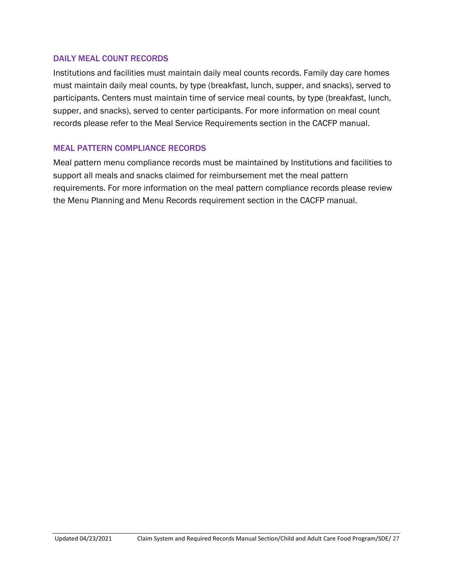#### DAILY MEAL COUNT RECORDS

Institutions and facilities must maintain daily meal counts records. Family day care homes must maintain daily meal counts, by type (breakfast, lunch, supper, and snacks), served to participants. Centers must maintain time of service meal counts, by type (breakfast, lunch, supper, and snacks), served to center participants. For more information on meal count records please refer to the Meal Service Requirements section in the CACFP manual.

#### MEAL PATTERN COMPLIANCE RECORDS

Meal pattern menu compliance records must be maintained by Institutions and facilities to support all meals and snacks claimed for reimbursement met the meal pattern requirements. For more information on the meal pattern compliance records please review the Menu Planning and Menu Records requirement section in the CACFP manual.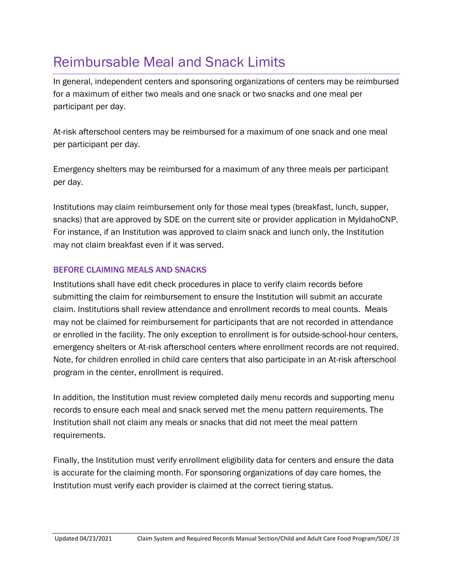## <span id="page-27-0"></span>Reimbursable Meal and Snack Limits

In general, independent centers and sponsoring organizations of centers may be reimbursed for a maximum of either two meals and one snack or two snacks and one meal per participant per day.

At-risk afterschool centers may be reimbursed for a maximum of one snack and one meal per participant per day.

Emergency shelters may be reimbursed for a maximum of any three meals per participant per day.

Institutions may claim reimbursement only for those meal types (breakfast, lunch, supper, snacks) that are approved by SDE on the current site or provider application in MyIdahoCNP. For instance, if an Institution was approved to claim snack and lunch only, the Institution may not claim breakfast even if it was served.

## BEFORE CLAIMING MEALS AND SNACKS

Institutions shall have edit check procedures in place to verify claim records before submitting the claim for reimbursement to ensure the Institution will submit an accurate claim. Institutions shall review attendance and enrollment records to meal counts. Meals may not be claimed for reimbursement for participants that are not recorded in attendance or enrolled in the facility. The only exception to enrollment is for outside-school-hour centers, emergency shelters or At-risk afterschool centers where enrollment records are not required. Note, for children enrolled in child care centers that also participate in an At-risk afterschool program in the center, enrollment is required.

In addition, the Institution must review completed daily menu records and supporting menu records to ensure each meal and snack served met the menu pattern requirements. The Institution shall not claim any meals or snacks that did not meet the meal pattern requirements.

Finally, the Institution must verify enrollment eligibility data for centers and ensure the data is accurate for the claiming month. For sponsoring organizations of day care homes, the Institution must verify each provider is claimed at the correct tiering status.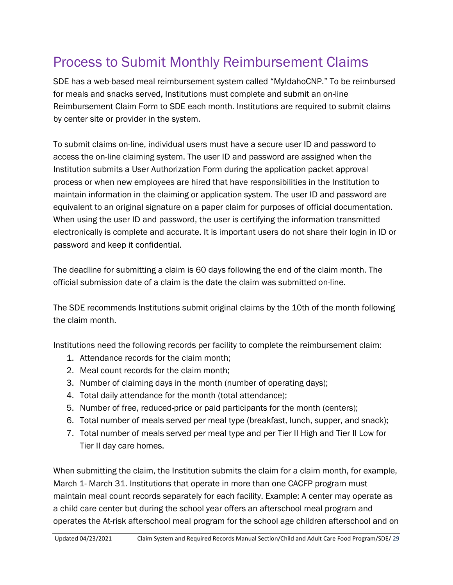## <span id="page-28-0"></span>Process to Submit Monthly Reimbursement Claims

SDE has a web-based meal reimbursement system called "MyIdahoCNP." To be reimbursed for meals and snacks served, Institutions must complete and submit an on-line Reimbursement Claim Form to SDE each month. Institutions are required to submit claims by center site or provider in the system.

To submit claims on-line, individual users must have a secure user ID and password to access the on-line claiming system. The user ID and password are assigned when the Institution submits a User Authorization Form during the application packet approval process or when new employees are hired that have responsibilities in the Institution to maintain information in the claiming or application system. The user ID and password are equivalent to an original signature on a paper claim for purposes of official documentation. When using the user ID and password, the user is certifying the information transmitted electronically is complete and accurate. It is important users do not share their login in ID or password and keep it confidential.

The deadline for submitting a claim is 60 days following the end of the claim month. The official submission date of a claim is the date the claim was submitted on-line.

The SDE recommends Institutions submit original claims by the 10th of the month following the claim month.

Institutions need the following records per facility to complete the reimbursement claim:

- 1. Attendance records for the claim month;
- 2. Meal count records for the claim month;
- 3. Number of claiming days in the month (number of operating days);
- 4. Total daily attendance for the month (total attendance);
- 5. Number of free, reduced-price or paid participants for the month (centers);
- 6. Total number of meals served per meal type (breakfast, lunch, supper, and snack);
- 7. Total number of meals served per meal type and per Tier II High and Tier II Low for Tier II day care homes.

When submitting the claim, the Institution submits the claim for a claim month, for example, March 1- March 31. Institutions that operate in more than one CACFP program must maintain meal count records separately for each facility. Example: A center may operate as a child care center but during the school year offers an afterschool meal program and operates the At-risk afterschool meal program for the school age children afterschool and on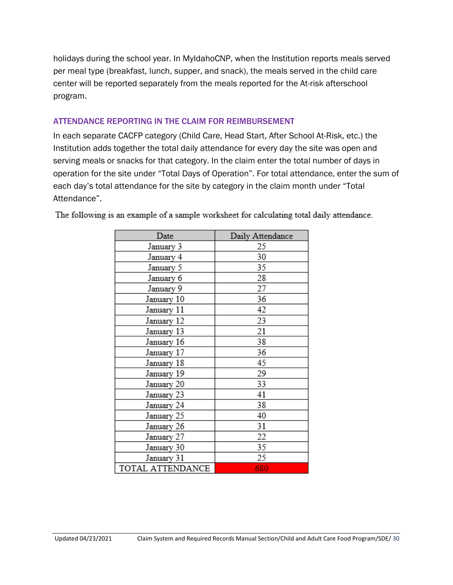holidays during the school year. In MyIdahoCNP, when the Institution reports meals served per meal type (breakfast, lunch, supper, and snack), the meals served in the child care center will be reported separately from the meals reported for the At-risk afterschool program.

#### ATTENDANCE REPORTING IN THE CLAIM FOR REIMBURSEMENT

In each separate CACFP category (Child Care, Head Start, After School At-Risk, etc.) the Institution adds together the total daily attendance for every day the site was open and serving meals or snacks for that category. In the claim enter the total number of days in operation for the site under "Total Days of Operation". For total attendance, enter the sum of each day's total attendance for the site by category in the claim month under "Total Attendance".

| Date             | Daily Attendance |
|------------------|------------------|
| January 3        | 25               |
| January 4        | 30               |
| January 5        | 35               |
| January 6        | 28               |
| January 9        | 27               |
| January 10       | 36               |
| January 11       | 42               |
| January 12       | 23               |
| January 13       | 21               |
| January 16       | 38               |
| January 17       | 36               |
| January 18       | 45               |
| January 19       | 29               |
| January 20       | 33               |
| January 23       | 41               |
| January 24       | 38               |
| January 25       | 40               |
| January 26       | 31               |
| January 27       | 22               |
| January 30       | 35               |
| January 31       | 25               |
| TOTAL ATTENDANCE | 680              |

The following is an example of a sample worksheet for calculating total daily attendance.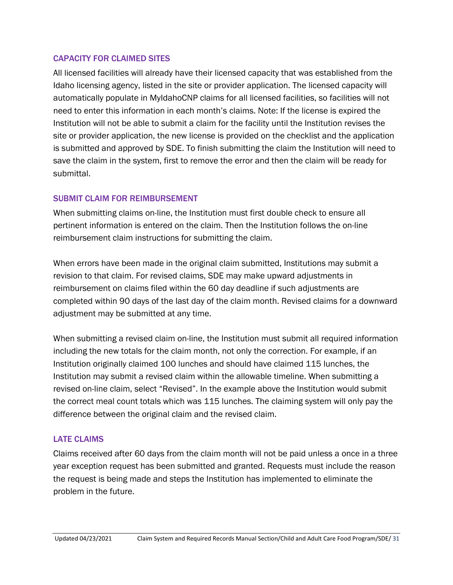#### CAPACITY FOR CLAIMED SITES

All licensed facilities will already have their licensed capacity that was established from the Idaho licensing agency, listed in the site or provider application. The licensed capacity will automatically populate in MyIdahoCNP claims for all licensed facilities, so facilities will not need to enter this information in each month's claims. Note: If the license is expired the Institution will not be able to submit a claim for the facility until the Institution revises the site or provider application, the new license is provided on the checklist and the application is submitted and approved by SDE. To finish submitting the claim the Institution will need to save the claim in the system, first to remove the error and then the claim will be ready for submittal.

#### SUBMIT CLAIM FOR REIMBURSEMENT

When submitting claims on-line, the Institution must first double check to ensure all pertinent information is entered on the claim. Then the Institution follows the on-line reimbursement claim instructions for submitting the claim.

When errors have been made in the original claim submitted, Institutions may submit a revision to that claim. For revised claims, SDE may make upward adjustments in reimbursement on claims filed within the 60 day deadline if such adjustments are completed within 90 days of the last day of the claim month. Revised claims for a downward adjustment may be submitted at any time.

When submitting a revised claim on-line, the Institution must submit all required information including the new totals for the claim month, not only the correction. For example, if an Institution originally claimed 100 lunches and should have claimed 115 lunches, the Institution may submit a revised claim within the allowable timeline. When submitting a revised on-line claim, select "Revised". In the example above the Institution would submit the correct meal count totals which was 115 lunches. The claiming system will only pay the difference between the original claim and the revised claim.

#### LATE CLAIMS

Claims received after 60 days from the claim month will not be paid unless a once in a three year exception request has been submitted and granted. Requests must include the reason the request is being made and steps the Institution has implemented to eliminate the problem in the future.